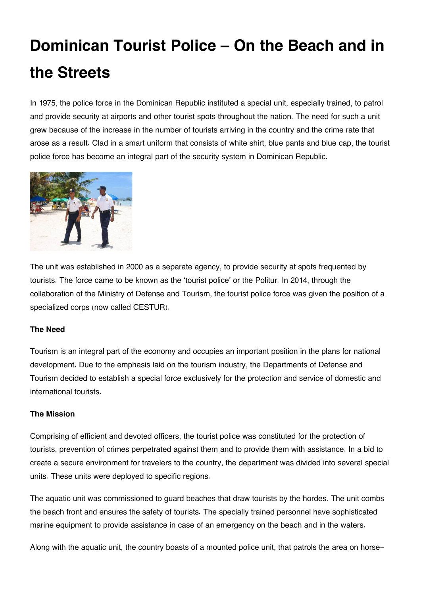## **Dominican Tourist Police – On the Beach and in the Streets**

In 1975, the police force in the Dominican Republic instituted a special unit, especially trained, to patrol and provide security at airports and other tourist spots throughout the nation. The need for such a unit grew because of the increase in the number of tourists arriving in the country and the crime rate that arose as a result. Clad in a smart uniform that consists of white shirt, blue pants and blue cap, the tourist police force has become an integral part of the security system in Dominican Republic.



The unit was established in 2000 as a separate agency, to provide security at spots frequented by tourists. The force came to be known as the 'tourist police' or the Politur. In 2014, through the collaboration of the Ministry of Defense and Tourism, the tourist police force was given the position of a specialized corps (now called CESTUR).

## **The Need**

Tourism is an integral part of the economy and occupies an important position in the plans for national development. Due to the emphasis laid on the tourism industry, the Departments of Defense and Tourism decided to establish a special force exclusively for the protection and service of domestic and international tourists.

## **The Mission**

Comprising of efficient and devoted officers, the tourist police was constituted for the protection of tourists, prevention of crimes perpetrated against them and to provide them with assistance. In a bid to create a secure environment for travelers to the country, the department was divided into several special units. These units were deployed to specific regions.

The aquatic unit was commissioned to guard beaches that draw tourists by the hordes. The unit combs the beach front and ensures the safety of tourists. The specially trained personnel have sophisticated marine equipment to provide assistance in case of an emergency on the beach and in the waters.

Along with the aquatic unit, the country boasts of a mounted police unit, that patrols the area on horse-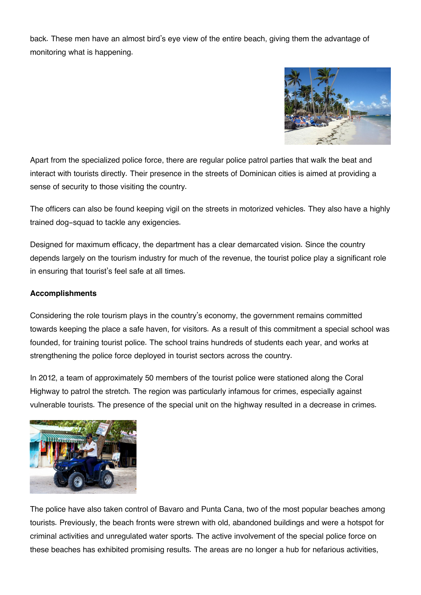back. These men have an almost bird's eye view of the entire beach, giving them the advantage of monitoring what is happening.



Apart from the specialized police force, there are regular police patrol parties that walk the beat and interact with tourists directly. Their presence in the streets of Dominican cities is aimed at providing a sense of security to those visiting the country.

The officers can also be found keeping vigil on the streets in motorized vehicles. They also have a highly trained dog-squad to tackle any exigencies.

Designed for maximum efficacy, the department has a clear demarcated vision. Since the country depends largely on the tourism industry for much of the revenue, the tourist police play a significant role in ensuring that tourist's feel safe at all times.

## **Accomplishments**

Considering the role tourism plays in the country's economy, the government remains committed towards keeping the place a safe haven, for visitors. As a result of this commitment a special school was founded, for training tourist police. The school trains hundreds of students each year, and works at strengthening the police force deployed in tourist sectors across the country.

In 2012, a team of approximately 50 members of the tourist police were stationed along the Coral Highway to patrol the stretch. The region was particularly infamous for crimes, especially against vulnerable tourists. The presence of the special unit on the highway resulted in a decrease in crimes.



The police have also taken control of Bavaro and Punta Cana, two of the most popular beaches among tourists. Previously, the beach fronts were strewn with old, abandoned buildings and were a hotspot for criminal activities and unregulated water sports. The active involvement of the special police force on these beaches has exhibited promising results. The areas are no longer a hub for nefarious activities,